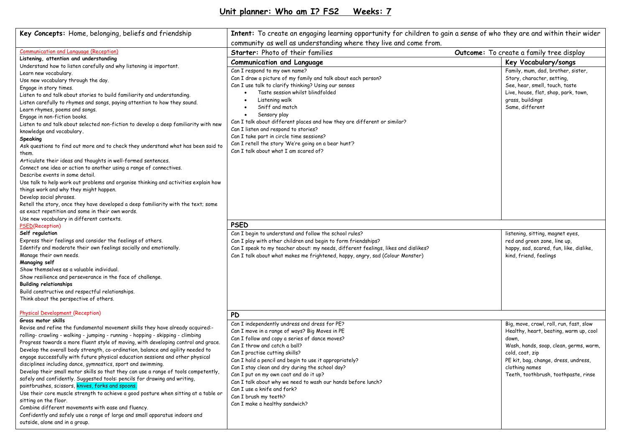| Key Concepts: Home, belonging, beliefs and friendship                                                                                                                                                                                                                                                                                                                                                                                                                                                                                                                                                                                                                                                                                                                                                                                                                                                                                                                                                                                                                                                                                                                                             | Intent: To create an engaging learning opportunity for children to gain a sense of who they are and within their wider                                                                                                                                                                                                                                                                                                                                                                                                                |                                                                                                                                                                                                                                                           |  |  |  |
|---------------------------------------------------------------------------------------------------------------------------------------------------------------------------------------------------------------------------------------------------------------------------------------------------------------------------------------------------------------------------------------------------------------------------------------------------------------------------------------------------------------------------------------------------------------------------------------------------------------------------------------------------------------------------------------------------------------------------------------------------------------------------------------------------------------------------------------------------------------------------------------------------------------------------------------------------------------------------------------------------------------------------------------------------------------------------------------------------------------------------------------------------------------------------------------------------|---------------------------------------------------------------------------------------------------------------------------------------------------------------------------------------------------------------------------------------------------------------------------------------------------------------------------------------------------------------------------------------------------------------------------------------------------------------------------------------------------------------------------------------|-----------------------------------------------------------------------------------------------------------------------------------------------------------------------------------------------------------------------------------------------------------|--|--|--|
|                                                                                                                                                                                                                                                                                                                                                                                                                                                                                                                                                                                                                                                                                                                                                                                                                                                                                                                                                                                                                                                                                                                                                                                                   | community as well as understanding where they live and come from.                                                                                                                                                                                                                                                                                                                                                                                                                                                                     |                                                                                                                                                                                                                                                           |  |  |  |
| <b>Communication and Language (Reception)</b><br>Listening, attention and understanding<br>Understand how to listen carefully and why listening is important.<br>Learn new vocabulary.<br>Use new vocabulary through the day.<br>Engage in story times.<br>Listen to and talk about stories to build familiarity and understanding.<br>Listen carefully to rhymes and songs, paying attention to how they sound.<br>Learn rhymes, poems and songs.<br>Engage in non-fiction books.<br>Listen to and talk about selected non-fiction to develop a deep familiarity with new<br>knowledge and vocabulary.<br>Speaking<br>Ask questions to find out more and to check they understand what has been said to<br>them.<br>Articulate their ideas and thoughts in well-formed sentences.<br>Connect one idea or action to another using a range of connectives.<br>Describe events in some detail.<br>Use talk to help work out problems and organise thinking and activities explain how<br>things work and why they might happen.<br>Develop social phrases.<br>Retell the story, once they have developed a deep familiarity with the text; some<br>as exact repetition and some in their own words. | Starter: Photo of their families                                                                                                                                                                                                                                                                                                                                                                                                                                                                                                      | Outcome: To create a family tree display                                                                                                                                                                                                                  |  |  |  |
|                                                                                                                                                                                                                                                                                                                                                                                                                                                                                                                                                                                                                                                                                                                                                                                                                                                                                                                                                                                                                                                                                                                                                                                                   | <b>Communication and Language</b>                                                                                                                                                                                                                                                                                                                                                                                                                                                                                                     | Key Vocabulary/songs                                                                                                                                                                                                                                      |  |  |  |
|                                                                                                                                                                                                                                                                                                                                                                                                                                                                                                                                                                                                                                                                                                                                                                                                                                                                                                                                                                                                                                                                                                                                                                                                   | Can I respond to my own name?<br>Can I draw a picture of my family and talk about each person?<br>Can I use talk to clarify thinking? Using our senses<br>Taste session whilst blindfolded<br>Listening walk<br>Sniff and match<br>Sensory play<br>Can I talk about different places and how they are different or similar?<br>Can I listen and respond to stories?<br>Can I take part in circle time sessions?<br>Can I retell the story 'We're going on a bear hunt'?<br>Can I talk about what I am scared of?                      | Family, mum, dad, brother, sister,<br>Story, character, setting,<br>See, hear, smell, touch, taste<br>Live, house, flat, shop, park, town,<br>grass, buildings<br>Same, different                                                                         |  |  |  |
| Use new vocabulary in different contexts.                                                                                                                                                                                                                                                                                                                                                                                                                                                                                                                                                                                                                                                                                                                                                                                                                                                                                                                                                                                                                                                                                                                                                         | <b>PSED</b>                                                                                                                                                                                                                                                                                                                                                                                                                                                                                                                           |                                                                                                                                                                                                                                                           |  |  |  |
| <b>PSED(Reception)</b><br>Self regulation<br>Express their feelings and consider the feelings of others.<br>Identify and moderate their own feelings socially and emotionally.<br>Manage their own needs.<br>Managing self<br>Show themselves as a valuable individual.<br>Show resilience and perseverance in the face of challenge.<br><b>Building relationships</b><br>Build constructive and respectful relationships.<br>Think about the perspective of others.                                                                                                                                                                                                                                                                                                                                                                                                                                                                                                                                                                                                                                                                                                                              | Can I begin to understand and follow the school rules?<br>Can I play with other children and begin to form friendships?<br>Can I speak to my teacher about: my needs, different feelings, likes and dislikes?<br>Can I talk about what makes me frightened, happy, angry, sad (Colour Monster)                                                                                                                                                                                                                                        | listening, sitting, magnet eyes,<br>red and green zone, line up,<br>happy, sad, scared, fun, like, dislike,<br>kind, friend, feelings                                                                                                                     |  |  |  |
| Physical Development (Reception)<br>Gross motor skills                                                                                                                                                                                                                                                                                                                                                                                                                                                                                                                                                                                                                                                                                                                                                                                                                                                                                                                                                                                                                                                                                                                                            | <b>PD</b>                                                                                                                                                                                                                                                                                                                                                                                                                                                                                                                             |                                                                                                                                                                                                                                                           |  |  |  |
| Revise and refine the fundamental movement skills they have already acquired:-<br>rolling- crawling - walking - jumping - running - hopping - skipping - climbing<br>Progress towards a more fluent style of moving, with developing control and grace.<br>Develop the overall body strength, co-ordination, balance and agility needed to<br>engage successfully with future physical education sessions and other physical<br>disciplines including dance, gymnastics, sport and swimming.<br>Develop their small motor skills so that they can use a range of tools competently,<br>safely and confidently. Suggested tools: pencils for drawing and writing,<br>paintbrushes, scissors, knives, forks and spoons.<br>Use their core muscle strength to achieve a good posture when sitting at a table or<br>sitting on the floor.<br>Combine different movements with ease and fluency.<br>Confidently and safely use a range of large and small apparatus indoors and<br>outside, alone and in a group.                                                                                                                                                                                      | Can I independently undress and dress for PE?<br>Can I move in a range of ways? Big Moves in PE<br>Can I follow and copy a series of dance moves?<br>Can I throw and catch a ball?<br>Can I practise cutting skills?<br>Can I hold a pencil and begin to use it appropriately?<br>Can I stay clean and dry during the school day?<br>Can I put on my own coat and do it up?<br>Can I talk about why we need to wash our hands before lunch?<br>Can I use a knife and fork?<br>Can I brush my teeth?<br>Can I make a healthy sandwich? | Big, move, crawl, roll, run, fast, slow<br>Healthy, heart, beating, warm up, cool<br>down,<br>Wash, hands, soap, clean, germs, warm,<br>cold, coat, zip<br>PE kit, bag, change, dress, undress,<br>clothing names<br>Teeth, toothbrush, toothpaste, rinse |  |  |  |